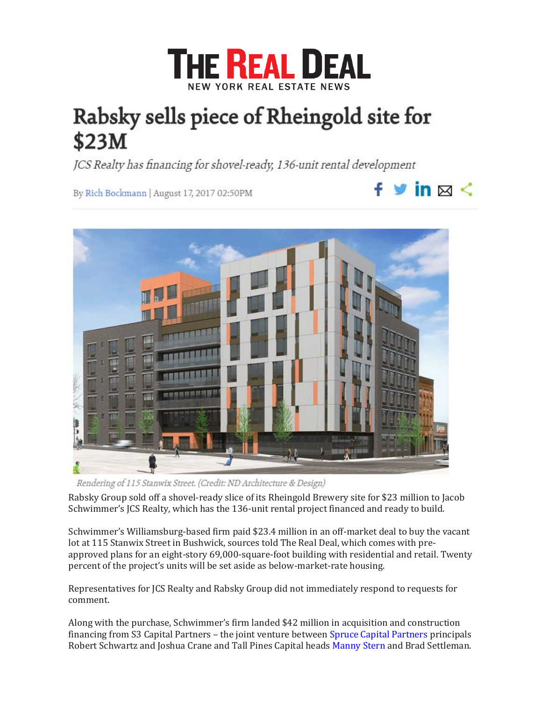

 $f$   $\vee$  in  $\boxtimes$   $\leq$ 

## Rabsky sells piece of Rheingold site for \$23M

JCS Realty has financing for shovel-ready, 136-unit rental development

By Rich Bockmann | August 17, 2017 02:50PM



Rendering of 115 Stanwix Street. (Credit: ND Architecture & Design)

Rabsky Group sold off a shovel-ready slice of its Rheingold Brewery site for \$23 million to Jacob Schwimmer's JCS Realty, which has the 136-unit rental project financed and ready to build.

Schwimmer's Williamsburg-based firm paid \$23.4 million in an off-market deal to buy the vacant lot at 115 Stanwix Street in Bushwick, sources told The Real Deal, which comes with preapproved plans for an eight-story 69,000-square-foot building with residential and retail. Twenty percent of the project's units will be set aside as below-market-rate housing.

Representatives for JCS Realty and Rabsky Group did not immediately respond to requests for comment.

Along with the purchase, Schwimmer's firm landed \$42 million in acquisition and construction financing from S3 Capital Partners – the joint venture between [Spruce Capital Partners](https://therealdeal.com/new-research/topics/company/spruce-capital-partners/) principals Robert Schwartz and Joshua Crane and Tall Pines Capital heads [Manny Stern](https://therealdeal.com/2015/10/01/with-tall-pines-capital-leonard-sterns-son-looks-to-branch-out/) and Brad Settleman.